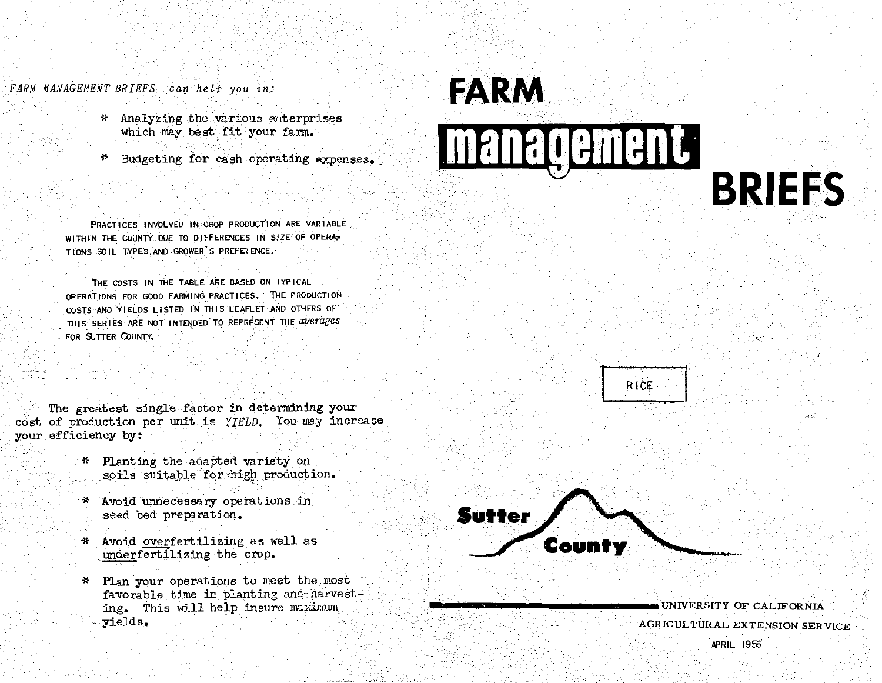FARM MANAGEMENT BRIEFS can help you in:

- Analyzing the various enterprises \* which may best fit your farm.
- Budgeting for cash operating expenses. \*

PRACTICES INVOLVED IN CROP PRODUCTION ARE VARIABLE. WITHIN THE COUNTY DUE TO DIFFERENCES IN SIZE OF OPERA-TIONS SOIL TYPES, AND GROWER'S PREFERENCE.

THE COSTS IN THE TABLE ARE BASED ON TYPICAL OPERATIONS FOR GOOD FARMING PRACTICES. THE PRODUCTION COSTS AND YIELDS LISTED IN THIS LEAFLET AND OTHERS OF THIS SERIES ARE NOT INTENDED TO REPRESENT THE averages FOR SUTTER COUNTY.

The greatest single factor in determining your cost of production per unit is YIELD. You may increase your efficiency by:

- \* Planting the adapted variety on soils suitable for high production.
- Avoid unnecessary operations in seed bed preparation.
- \* Avoid overfertilizing as well as underfertilizing the crop.
- \* Plan your operations to meet the most favorable time in planting and harvesting. This will help insure maximum yields.









UNIVERSITY OF CALIFORNIA AGRICULTURAL EXTENSION SERVICE

**BRIEFS** 

**APRIL 1956**